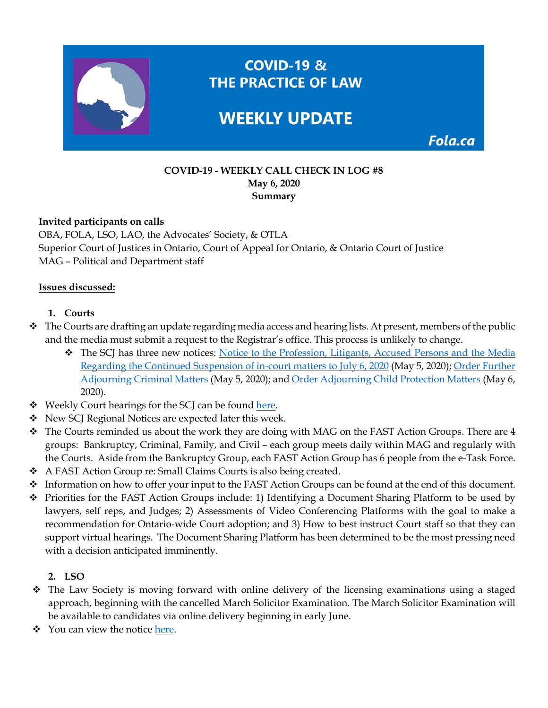

Fola.ca

### **COVID-19 - WEEKLY CALL CHECK IN LOG #8 May 6, 2020 Summary**

### **Invited participants on calls**

OBA, FOLA, LSO, LAO, the Advocates' Society, & OTLA Superior Court of Justices in Ontario, Court of Appeal for Ontario, & Ontario Court of Justice MAG – Political and Department staff

#### **Issues discussed:**

### **1. Courts**

- $\triangle$  The Courts are drafting an update regarding media access and hearing lists. At present, members of the public and the media must submit a request to the Registrar's office. This process is unlikely to change.
	- \* The SCJ has three new notices: Notice to the Profession, Litigants, Accused Persons and the Media [Regarding the Continued Suspension of in-court matters to July 6, 2020](https://www.ontariocourts.ca/scj/notice-continued-suspension/) (May 5, 2020); [Order Further](https://www.ontariocourts.ca/scj/order-adjourning-criminal-matters/)  [Adjourning Criminal](https://www.ontariocourts.ca/scj/order-adjourning-criminal-matters/) Matters (May 5, 2020); and [Order Adjourning Child Protection Matters](https://www.ontariocourts.ca/scj/order-adjourning-child-protection-matters/) (May 6, 2020).
- Weekly Court hearings for the SCJ can be found [here.](https://www.ontariocourts.ca/scj/locations/#Daily_Court_Lists_Online)
- \* New SCJ Regional Notices are expected later this week.
- \* The Courts reminded us about the work they are doing with MAG on the FAST Action Groups. There are 4 groups: Bankruptcy, Criminal, Family, and Civil – each group meets daily within MAG and regularly with the Courts. Aside from the Bankruptcy Group, each FAST Action Group has 6 people from the e-Task Force.
- A FAST Action Group re: Small Claims Courts is also being created.
- Information on how to offer your input to the FAST Action Groups can be found at the end of this document.
- Priorities for the FAST Action Groups include: 1) Identifying a Document Sharing Platform to be used by lawyers, self reps, and Judges; 2) Assessments of Video Conferencing Platforms with the goal to make a recommendation for Ontario-wide Court adoption; and 3) How to best instruct Court staff so that they can support virtual hearings. The Document Sharing Platform has been determined to be the most pressing need with a decision anticipated imminently.

### **2. LSO**

- The Law Society is moving forward with online delivery of the licensing examinations using a staged approach, beginning with the cancelled March Solicitor Examination. The March Solicitor Examination will be available to candidates via online delivery beginning in early June.
- ◆ You can view the notice [here.](https://lso.ca/becoming-licensed/lawyer-licensing-process/licensing-examinations/online-exam-delivery)